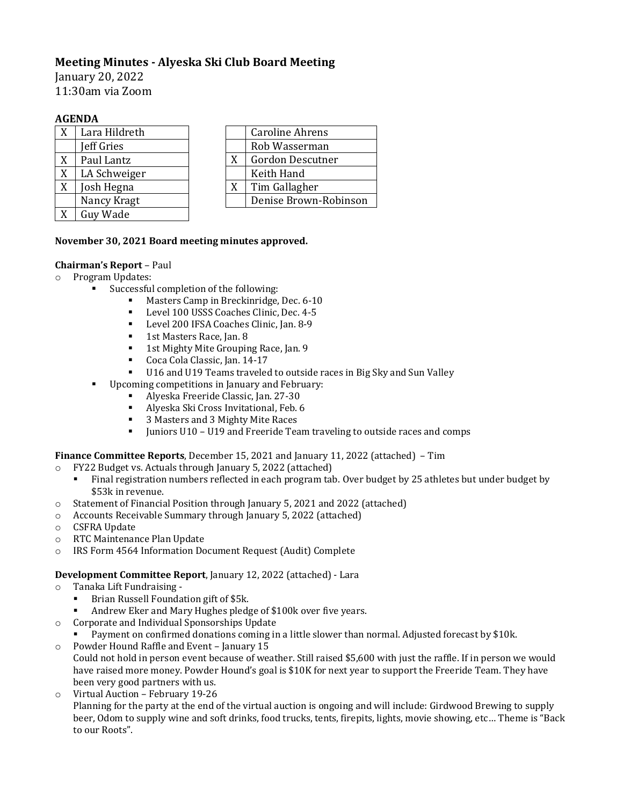# **Meeting Minutes - Alyeska Ski Club Board Meeting**

January 20, 2022 11:30am via Zoom

## **AGENDA**

| X | Lara Hildreth |
|---|---------------|
|   | Jeff Gries    |
| X | Paul Lantz    |
| X | LA Schweiger  |
| X | Josh Hegna    |
|   | Nancy Kragt   |
| X | Guy Wade      |

|   | Caroline Ahrens       |
|---|-----------------------|
|   | Rob Wasserman         |
| X | Gordon Descutner      |
|   | Keith Hand            |
| X | Tim Gallagher         |
|   | Denise Brown-Robinson |

### **November 30, 2021 Board meeting minutes approved.**

### **Chairman's Report** – Paul

- o Program Updates:
	- Successful completion of the following:
		- Masters Camp in Breckinridge, Dec. 6-10
		- Level 100 USSS Coaches Clinic, Dec. 4-5
		- Level 200 IFSA Coaches Clinic, Jan. 8-9
		- 1st Masters Race, Jan. 8
		- 1st Mighty Mite Grouping Race, Jan. 9
		- Coca Cola Classic, Ian. 14-17
		- U16 and U19 Teams traveled to outside races in Big Sky and Sun Valley
		- Upcoming competitions in January and February:
			- Alyeska Freeride Classic, Jan. 27-30<br>■ Alveska Ski Cross Invitational Feb. 6
				- Alyeska Ski Cross Invitational, Feb. 6
				- 3 Masters and 3 Mighty Mite Races
				- Juniors U10 U19 and Freeride Team traveling to outside races and comps

### **Finance Committee Reports**, December 15, 2021 and January 11, 2022 (attached) – Tim

- o FY22 Budget vs. Actuals through January 5, 2022 (attached)
	- Final registration numbers reflected in each program tab. Over budget by 25 athletes but under budget by \$53k in revenue.
- o Statement of Financial Position through January 5, 2021 and 2022 (attached)
- o Accounts Receivable Summary through January 5, 2022 (attached)
- o CSFRA Update
- o RTC Maintenance Plan Update
- o IRS Form 4564 Information Document Request (Audit) Complete

## **Development Committee Report**, January 12, 2022 (attached) - Lara

- o Tanaka Lift Fundraising
	- Brian Russell Foundation gift of \$5k.
	- Andrew Eker and Mary Hughes pledge of \$100k over five years.
- o Corporate and Individual Sponsorships Update
	- Payment on confirmed donations coming in a little slower than normal. Adjusted forecast by \$10k.
- o Powder Hound Raffle and Event January 15
- Could not hold in person event because of weather. Still raised \$5,600 with just the raffle. If in person we would have raised more money. Powder Hound's goal is \$10K for next year to support the Freeride Team. They have been very good partners with us.
- Virtual Auction February 19-26

Planning for the party at the end of the virtual auction is ongoing and will include: Girdwood Brewing to supply beer, Odom to supply wine and soft drinks, food trucks, tents, firepits, lights, movie showing, etc… Theme is "Back to our Roots".